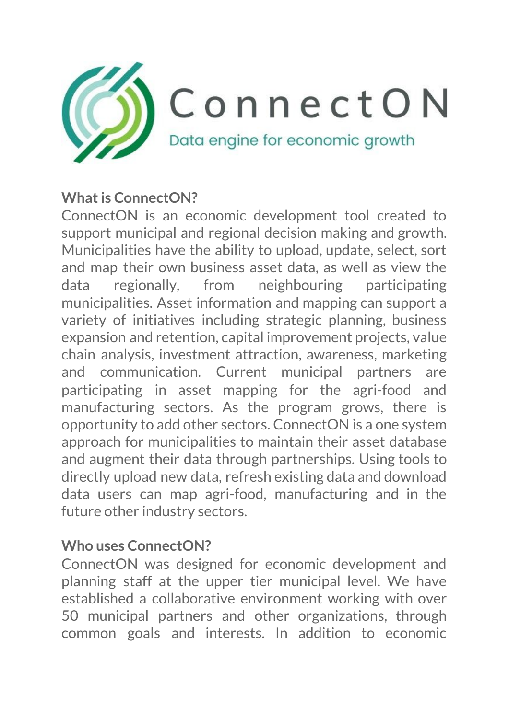

#### **Whatis ConnectON?**

ConnectON is an economic development tool created to support municipal and regional decision making and growth. Municipalities have the ability to upload, update, select, sort and map their own business asset data, as well as view the data regionally, from neighbouring participating municipalities. Asset information and mapping can support a variety of initiatives including strategic planning, business expansion and retention, capital improvement projects, value chain analysis, investment attraction, awareness, marketing and communication. Current municipal partners are participating in asset mapping for the agri-food and manufacturing sectors. As the program grows, there is opportunity to add other sectors. ConnectON is a one system approach for municipalities to maintain their asset database and augment their data through partnerships. Using tools to directly upload new data, refresh existing data and download data users can map agri-food, manufacturing and in the future other industry sectors.

#### **Who uses ConnectON?**

ConnectON was designed for economic development and planning staff at the upper tier municipal level. We have established a collaborative environment working with over 50 municipal partners and other organizations, through common goals and interests. In addition to economic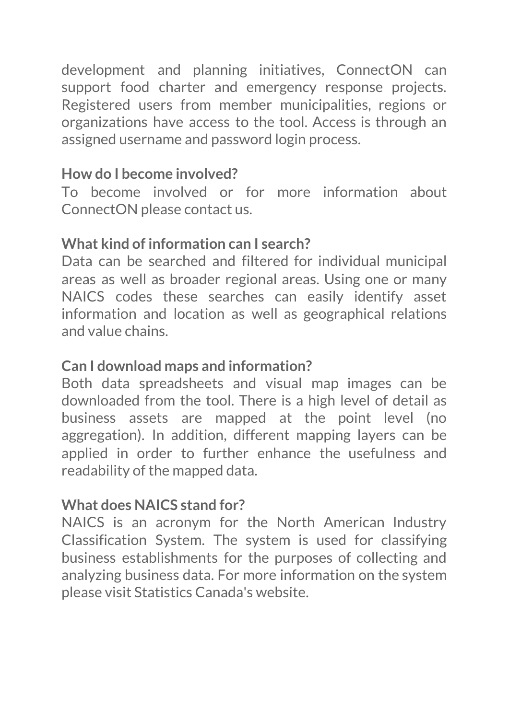development and planning initiatives, ConnectON can support food charter and emergency response projects. Registered users from member municipalities, regions or organizations have access to the tool. Access is through an assigned username and password login process.

# **How do I become involved?**

To become involved or for more information about ConnectON please contact us.

## **What kind of information can I search?**

Data can be searched and filtered for individual municipal areas as well as broader regional areas. Using one or many NAICS codes these searches can easily identify asset information and location as well as geographical relations and value chains.

## **Can I download maps and information?**

Both data spreadsheets and visual map images can be downloaded from the tool. There is a high level of detail as business assets are mapped at the point level (no aggregation). In addition, different mapping layers can be applied in order to further enhance the usefulness and readability of the mapped data.

## **What does NAICS stand for?**

NAICS is an acronym for the North American Industry Classification System. The system is used for classifying business establishments for the purposes of collecting and analyzing business data. For more information on the system please visit Statistics Canada's website.